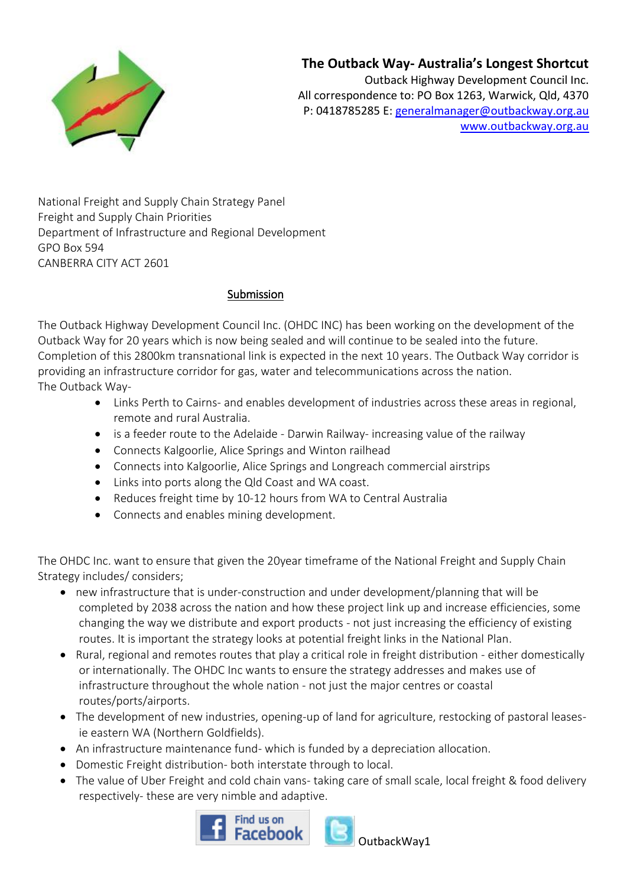

## **The Outback Way- Australia's Longest Shortcut**

Outback Highway Development Council Inc. All correspondence to: PO Box 1263, Warwick, Qld, 4370 P: 0418785285 E: [generalmanager@outbackway.org.au](mailto:generalmanager@outbackway.org.au) [www.outbackway.org.au](http://www.outbackway.org.au/) 

National Freight and Supply Chain Strategy Panel Freight and Supply Chain Priorities Department of Infrastructure and Regional Development GPO Box 594 CANBERRA CITY ACT 2601

## Submission

The Outback Highway Development Council Inc. (OHDC INC) has been working on the development of the Outback Way for 20 years which is now being sealed and will continue to be sealed into the future. Completion of this 2800km transnational link is expected in the next 10 years. The Outback Way corridor is providing an infrastructure corridor for gas, water and telecommunications across the nation. The Outback Way-

- Links Perth to Cairns- and enables development of industries across these areas in regional, remote and rural Australia.
- is a feeder route to the Adelaide Darwin Railway- increasing value of the railway
- Connects Kalgoorlie, Alice Springs and Winton railhead
- Connects into Kalgoorlie, Alice Springs and Longreach commercial airstrips
- Links into ports along the Qld Coast and WA coast.
- Reduces freight time by 10-12 hours from WA to Central Australia
- Connects and enables mining development.

The OHDC Inc. want to ensure that given the 20year timeframe of the National Freight and Supply Chain Strategy includes/ considers;

- new infrastructure that is under-construction and under development/planning that will be completed by 2038 across the nation and how these project link up and increase efficiencies, some changing the way we distribute and export products - not just increasing the efficiency of existing routes. It is important the strategy looks at potential freight links in the National Plan.
- Rural, regional and remotes routes that play a critical role in freight distribution either domestically or internationally. The OHDC Inc wants to ensure the strategy addresses and makes use of infrastructure throughout the whole nation - not just the major centres or coastal routes/ports/airports.
- The development of new industries, opening-up of land for agriculture, restocking of pastoral leasesie eastern WA (Northern Goldfields).
- An infrastructure maintenance fund- which is funded by a depreciation allocation.
- Domestic Freight distribution- both interstate through to local.
- The value of Uber Freight and cold chain vans- taking care of small scale, local freight & food delivery respectively- these are very nimble and adaptive.